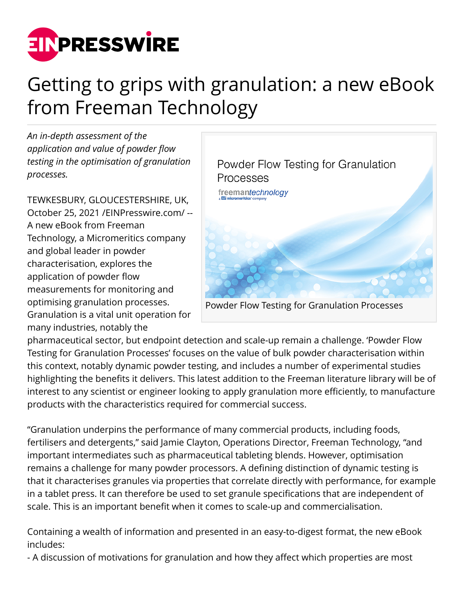

## Getting to grips with granulation: a new eBook from Freeman Technology

*An in-depth assessment of the application and value of powder flow testing in the optimisation of granulation processes.*

TEWKESBURY, GLOUCESTERSHIRE, UK, October 25, 2021 [/EINPresswire.com](http://www.einpresswire.com)/ -- A new eBook from Freeman Technology, a Micromeritics company and global leader in powder characterisation, explores the application of powder flow measurements for monitoring and optimising granulation processes. Granulation is a vital unit operation for many industries, notably the



pharmaceutical sector, but endpoint detection and scale-up remain a challenge. 'Powder Flow Testing for Granulation Processes' focuses on the value of bulk powder characterisation within this context, notably dynamic powder testing, and includes a number of experimental studies highlighting the benefits it delivers. This latest addition to the Freeman literature library will be of interest to any scientist or engineer looking to apply granulation more efficiently, to manufacture products with the characteristics required for commercial success.

"Granulation underpins the performance of many commercial products, including foods, fertilisers and detergents," said Jamie Clayton, Operations Director, Freeman Technology, "and important intermediates such as pharmaceutical tableting blends. However, optimisation remains a challenge for many powder processors. A defining distinction of dynamic testing is that it characterises granules via properties that correlate directly with performance, for example in a tablet press. It can therefore be used to set granule specifications that are independent of scale. This is an important benefit when it comes to scale-up and commercialisation.

Containing a wealth of information and presented in an easy-to-digest format, the new eBook includes:

- A discussion of motivations for granulation and how they affect which properties are most